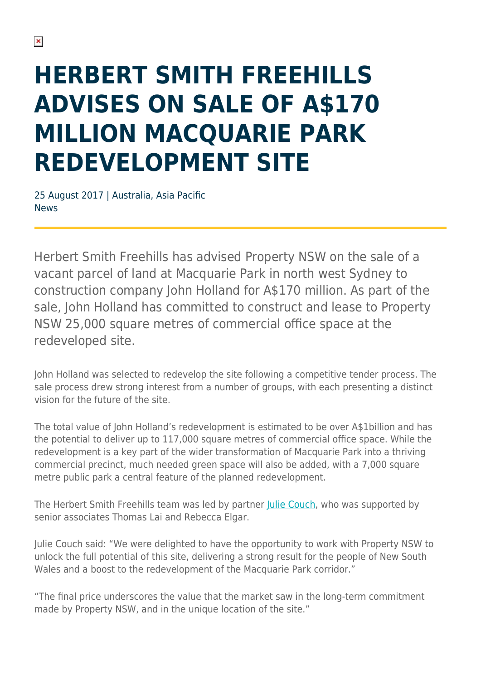## **HERBERT SMITH FREEHILLS ADVISES ON SALE OF A\$170 MILLION MACQUARIE PARK REDEVELOPMENT SITE**

25 August 2017 | Australia, Asia Pacific News

Herbert Smith Freehills has advised Property NSW on the sale of a vacant parcel of land at Macquarie Park in north west Sydney to construction company John Holland for A\$170 million. As part of the sale, John Holland has committed to construct and lease to Property NSW 25,000 square metres of commercial office space at the redeveloped site.

John Holland was selected to redevelop the site following a competitive tender process. The sale process drew strong interest from a number of groups, with each presenting a distinct vision for the future of the site.

The total value of John Holland's redevelopment is estimated to be over A\$1billion and has the potential to deliver up to 117,000 square metres of commercial office space. While the redevelopment is a key part of the wider transformation of Macquarie Park into a thriving commercial precinct, much needed green space will also be added, with a 7,000 square metre public park a central feature of the planned redevelopment.

The Herbert Smith Freehills team was led by partner [Julie Couch](https://www.herbertsmithfreehills.com/our-people/julie-couch), who was supported by senior associates Thomas Lai and Rebecca Elgar.

Julie Couch said: "We were delighted to have the opportunity to work with Property NSW to unlock the full potential of this site, delivering a strong result for the people of New South Wales and a boost to the redevelopment of the Macquarie Park corridor."

"The final price underscores the value that the market saw in the long-term commitment made by Property NSW, and in the unique location of the site."